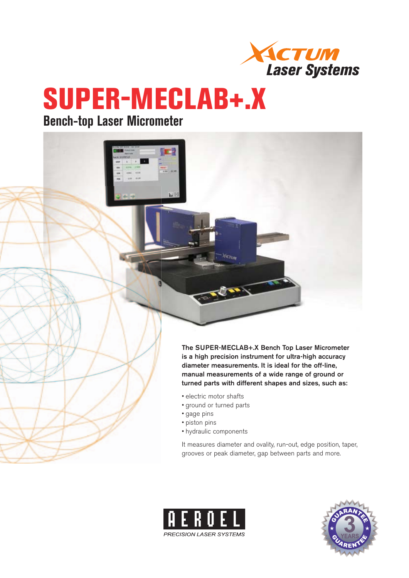

# **SUPER-MECLAB+.X**

### **Bench-top Laser Micrometer**



- electric motor shafts
- ground or turned parts
- gage pins
- piston pins
- hydraulic components

It measures diameter and ovality, run-out, edge position, taper, grooves or peak diameter, gap between parts and more.



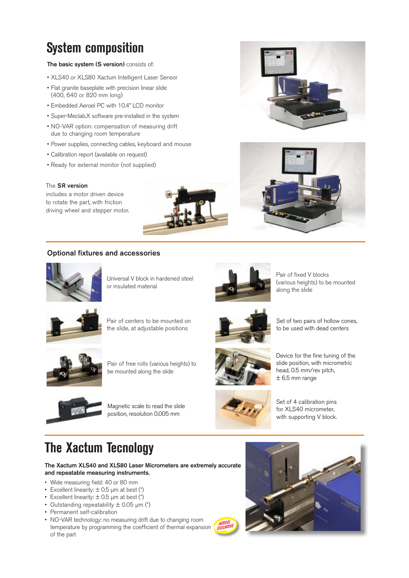## **System composition**

#### **The basic system (S version)** consists of:

- XLS40 or XLS80 Xactum Intelligent Laser Sensor
- Flat granite baseplate with precision linear slide (400, 640 or 820 mm long)
- Embedded Aeroel PC with 10.4" LCD monitor
- Super-Meclab.X software pre-installed in the system
- NO-VAR option: compensation of measuring drift due to changing room temperature
- Power supplies, connecting cables, keyboard and mouse
- Calibration report (available on request)
- Ready for external monitor (not supplied)

#### The **SR version**

includes a motor driven device to rotate the part, with friction driving wheel and stepper motor.



#### **Optional fixtures and accessories**



Universal V block in hardened steel or insulated material



Pair of fixed V blocks (various heights) to be mounted along the slide

Set of two pairs of hollow cones, to be used with dead centers



Pair of centers to be mounted on the slide, at adjustable positions



Pair of free rolls (various heights) to be mounted along the slide



Magnetic scale to read the slide position, resolution 0.005 mm



Device for the fine tuning of the slide position, with micrometric head, 0.5 mm/rev pitch,  $± 6.5$  mm range



Set of 4 calibration pins for XLS40 micrometer, with supporting V block.

### **The Xactum Tecnology**

**The Xactum XLS40 and XLS80 Laser Micrometers are extremely accurate and repeatable measuring instruments.**

- Wide measuring field: 40 or 80 mm
- Excellent linearity:  $\pm$  0.5 µm at best (\*)
- Excellent linearity:  $\pm$  0.5 µm at best (\*)
- Outstanding repeatability  $\pm$  0.05  $\mu$ m (\*)
- Permanent self-calibration
- NO-VAR technology: no measuring drift due to changing room temperature by programming the coefficient of thermal expansion of the part





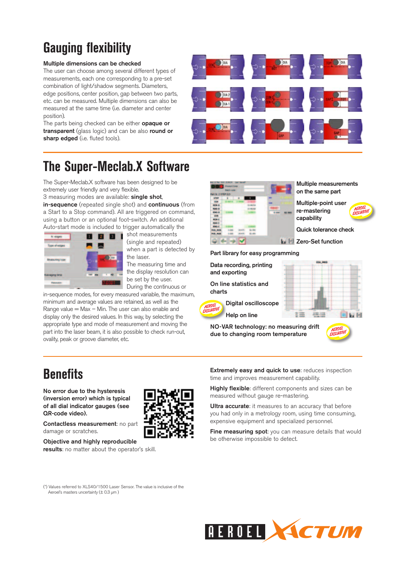# **Gauging flexibility**

#### **Multiple dimensions can be checked**

The user can choose among several different types of measurements, each one corresponding to a pre-set combination of light/shadow segments. Diameters, edge positions, center position, gap between two parts, etc. can be measured. Multiple dimensions can also be measured at the same time (i.e. diameter and center position).

The parts being checked can be either **opaque or transparent** (glass logic) and can be also **round or**  sharp edged (i.e. fluted tools).



# **The Super-Meclab.X Software**

The Super-Meclab.X software has been designed to be extremely user friendly and very flexible.

3 measuring modes are available: **single shot**,

**in-sequence** (repeated single shot) and **continuous** (from a Start to a Stop command). All are triggered on command, using a button or an optional foot-switch. An additional Auto-start mode is included to trigger automatically the



shot measurements (single and repeated) when a part is detected by the laser. The measuring time and

the display resolution can be set by the user. During the continuous or

in-sequence modes, for every measured variable, the maximum, minimum and average values are retained, as well as the Range value  $=$  Max  $-$  Min. The user can also enable and display only the desired values. In this way, by selecting the appropriate type and mode of measurement and moving the part into the laser beam, it is also possible to check run-out, ovality, peak or groove diameter, etc.

| NH N 2 STEP 3/3 | <b>Fascit Long</b> |              |       |
|-----------------|--------------------|--------------|-------|
| straw           |                    | 1            |       |
| <b>BER</b>      |                    |              |       |
| <b>MON-D</b>    |                    |              |       |
| <b>HAS D</b>    |                    |              | m     |
| 896.0           |                    |              | 0.060 |
| CEN             |                    |              |       |
| <b>MINIC</b>    |                    |              |       |
| <b>MAIL C</b>   |                    |              |       |
| <b>RNG-C</b>    |                    | <b>COLOR</b> |       |
| <b>POS ADM</b>  |                    |              |       |
| <b>POS. NAM</b> |                    | 83,693       |       |

**Multiple measurements on the same part** 

**Multiple-point user re-mastering capability**



**Quick tolerance check**

**Zero-Set function**

**Part library for easy programming**

**Data recording, printing and exporting**

**On line statistics and charts**

**Digital oscilloscope Help on line**

 $\mathbb{R}$  and

**NO-VAR technology: no measuring drift due to changing room temperature**



# **Benefits**

**No error due to the hysteresis (inversion error) which is typical of all dial indicator gauges (see QR-code video).** 

**Contactless measurement**: no part damage or scratches.

**Objective and highly reproducible results**: no matter about the operator's skill.



**Highly flexible**: different components and sizes can be measured without gauge re-mastering.

**Ultra accurate:** it measures to an accuracy that before you had only in a metrology room, using time consuming, expensive equipment and specialized personnel.

**Fine measuring spot:** you can measure details that would be otherwise impossible to detect.

(\*) Values referred to XLS40/1500 Laser Sensor. The value is inclusive of the Aeroel's masters uncertainty (± 0.3 μm )